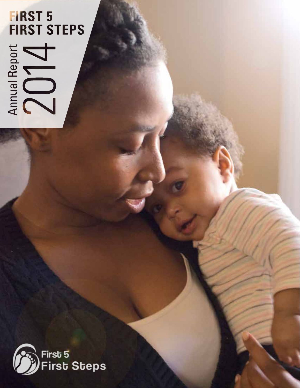# **FIRST 5 FIRST STEPS** Annual Report

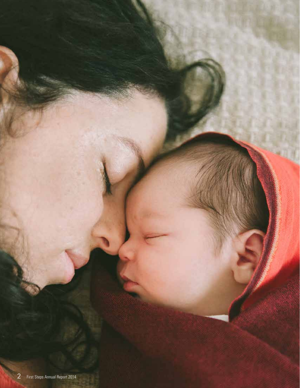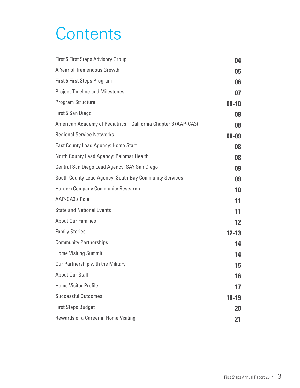# **Contents**

| First 5 First Steps Advisory Group                              | 04        |
|-----------------------------------------------------------------|-----------|
| A Year of Tremendous Growth                                     | 05        |
| First 5 First Steps Program                                     | 06        |
| <b>Project Timeline and Milestones</b>                          | 07        |
| Program Structure                                               | $08-10$   |
| First 5 San Diego                                               | 08        |
| American Academy of Pediatrics - California Chapter 3 (AAP-CA3) | 08        |
| <b>Regional Service Networks</b>                                | 08-09     |
| East County Lead Agency: Home Start                             | 08        |
| North County Lead Agency: Palomar Health                        | 08        |
| Central San Diego Lead Agency: SAY San Diego                    | 09        |
| South County Lead Agency: South Bay Community Services          | 09        |
| Harder+Company Community Research                               | 10        |
| AAP-CA3's Role                                                  | 11        |
| <b>State and National Events</b>                                | 11        |
| <b>About Our Families</b>                                       | $12 \,$   |
| <b>Family Stories</b>                                           | $12 - 13$ |
| <b>Community Partnerships</b>                                   | 14        |
| <b>Home Visiting Summit</b>                                     | 14        |
| Our Partnership with the Military                               | 15        |
| About Our Staff                                                 | 16        |
| <b>Home Visitor Profile</b>                                     | 17        |
| <b>Successful Outcomes</b>                                      | $18 - 19$ |
| <b>First Steps Budget</b>                                       | 20        |
| Rewards of a Career in Home Visiting                            | 21        |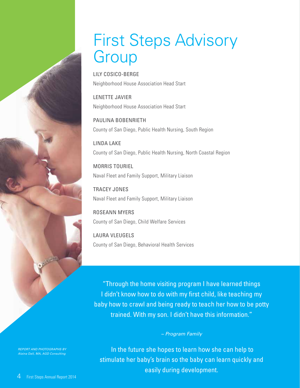### First Steps Advisory Group

LILY COSICO-BERGE Neighborhood House Association Head Start

LENETTE JAVIER Neighborhood House Association Head Start

PAULINA BOBENRIETH County of San Diego, Public Health Nursing, South Region

LINDA LAKE County of San Diego, Public Health Nursing, North Coastal Region

MORRIS TOURIEL Naval Fleet and Family Support, Military Liaison

TRACEY JONES Naval Fleet and Family Support, Military Liaison

ROSEANN MYERS County of San Diego, Child Welfare Services

LAURA VLEUGELS County of San Diego, Behavioral Health Services

"Through the home visiting program I have learned things I didn't know how to do with my first child, like teaching my baby how to crawl and being ready to teach her how to be potty trained. With my son. I didn't have this information."

#### *~ Program Family*

 In the future she hopes to learn how she can help to stimulate her baby's brain so the baby can learn quickly and easily during development.

*REPORT AND PHOTOGRAPHS BY Alaina Dall, MA, AGD Consulting*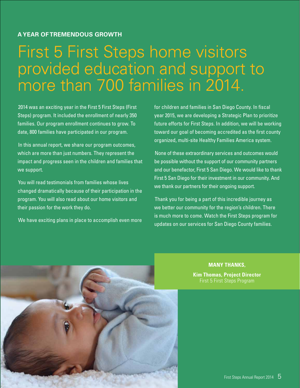#### **A YEAR OF TREMENDOUS GROWTH**

### First 5 First Steps home visitors provided education and support to more than 700 families in 2014.

2014 was an exciting year in the First 5 First Steps (First Steps) program. It included the enrollment of nearly 350 families. Our program enrollment continues to grow. To date, 800 families have participated in our program.

In this annual report, we share our program outcomes, which are more than just numbers. They represent the impact and progress seen in the children and families that we support.

You will read testimonials from families whose lives changed dramatically because of their participation in the program. You will also read about our home visitors and their passion for the work they do.

We have exciting plans in place to accomplish even more

for children and families in San Diego County. In fiscal year 2015, we are developing a Strategic Plan to prioritize future efforts for First Steps. In addition, we will be working toward our goal of becoming accredited as the first county organized, multi-site Healthy Families America system.

None of these extraordinary services and outcomes would be possible without the support of our community partners and our benefactor, First 5 San Diego. We would like to thank First 5 San Diego for their investment in our community. And we thank our partners for their ongoing support.

Thank you for being a part of this incredible journey as we better our community for the region's children. There is much more to come. Watch the First Steps program for updates on our services for San Diego County families.



**MANY THANKS, Kim Thomas, Project Director**

First 5 First Steps Program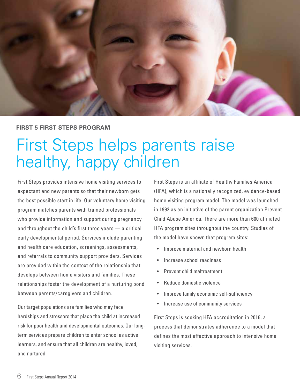

#### **FIRST 5 FIRST STEPS PROGRAM**

### First Steps helps parents raise healthy, happy children

First Steps provides intensive home visiting services to expectant and new parents so that their newborn gets the best possible start in life. Our voluntary home visiting program matches parents with trained professionals who provide information and support during pregnancy and throughout the child's first three years — a critical early developmental period. Services include parenting and health care education, screenings, assessments, and referrals to community support providers. Services are provided within the context of the relationship that develops between home visitors and families. These relationships foster the development of a nurturing bond between parents/caregivers and children.

Our target populations are families who may face hardships and stressors that place the child at increased risk for poor health and developmental outcomes. Our longterm services prepare children to enter school as active learners, and ensure that all children are healthy, loved, and nurtured.

First Steps is an affiliate of Healthy Families America (HFA), which is a nationally recognized, evidence-based home visiting program model. The model was launched in 1992 as an initiative of the parent organization Prevent Child Abuse America. There are more than 600 affiliated HFA program sites throughout the country. Studies of the model have shown that program sites:

- Improve maternal and newborn health
- Increase school readiness
- Prevent child maltreatment
- Reduce domestic violence
- Improve family economic self-sufficiency
- Increase use of community services

First Steps is seeking HFA accreditation in 2016, a process that demonstrates adherence to a model that defines the most effective approach to intensive home visiting services.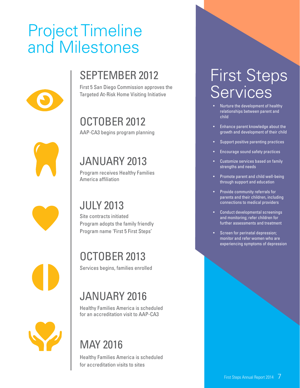# Project Timeline and Milestones





### SEPTEMBER 2012

First 5 San Diego Commission approves the Targeted At-Risk Home Visiting Initiative

### OCTOBER 2012

AAP-CA3 begins program planning

### JANUARY 2013

Program receives Healthy Families America affiliation

### JULY 2013

Site contracts initiated Program adopts the family friendly Program name 'First 5 First Steps'

### OCTOBER 2013

Services begins, families enrolled

### JANUARY 2016

Healthy Families America is scheduled for an accreditation visit to AAP-CA3

### MAY 2016

Healthy Families America is scheduled for accreditation visits to sites

## First Steps Services

- Nurture the development of healthy relationships between parent and child
- Enhance parent knowledge about the growth and development of their child
- Support positive parenting practices
- Encourage sound safety practices
- Customize services based on family strengths and needs
- Promote parent and child well-being through support and education
- Provide community referrals for parents and their children, including connections to medical providers
- Conduct developmental screenings and monitoring; refer children for further assessments and treatment
- Screen for perinatal depression; monitor and refer women who are experiencing symptoms of depression

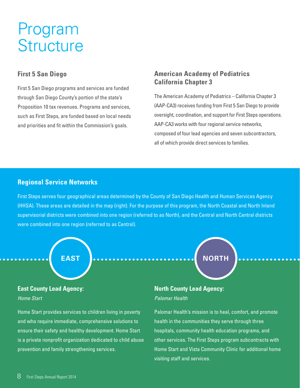### Program **Structure**

#### **First 5 San Diego**

First 5 San Diego programs and services are funded through San Diego County's portion of the state's Proposition 10 tax revenues. Programs and services, such as First Steps, are funded based on local needs and priorities and fit within the Commission's goals.

#### **American Academy of Pediatrics California Chapter 3**

The American Academy of Pediatrics – California Chapter 3 (AAP-CA3) receives funding from First 5 San Diego to provide oversight, coordination, and support for First Steps operations. AAP-CA3 works with four regional service networks, composed of four lead agencies and seven subcontractors, all of which provide direct services to families.

#### **Regional Service Networks**

First Steps serves four geographical areas determined by the County of San Diego Health and Human Services Agency (HHSA). These areas are detailed in the map (right). For the purpose of this program, the North Coastal and North Inland supervisorial districts were combined into one region (referred to as North), and the Central and North Central districts were combined into one region (referred to as Central).



**EAST NORTH**

#### **East County Lead Agency:**  *Home Start*

Home Start provides services to children living in poverty and who require immediate, comprehensive solutions to ensure their safety and healthy development. Home Start is a private nonprofit organization dedicated to child abuse prevention and family strengthening services.

#### **North County Lead Agency:**  *Palomar Health*

Palomar Health's mission is to heal, comfort, and promote health in the communities they serve through three hospitals, community health education programs, and other services. The First Steps program subcontracts with Home Start and Vista Community Clinic for additional home visiting staff and services.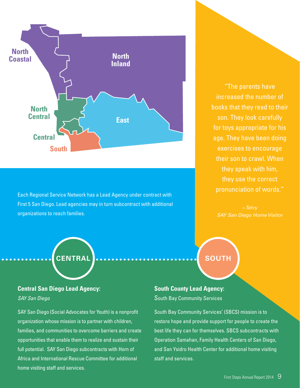

Each Regional Service Network has a Lead Agency under contract with First 5 San Diego. Lead agencies may in turn subcontract with additional organizations to reach families.



*~ Telvy SAY San Diego Home Visitor*



**Central San Diego Lead Agency:**  *SAY San Diego*

SAY San Diego (Social Advocates for Youth) is a nonprofit organization whose mission is to partner with children, families, and communities to overcome barriers and create opportunities that enable them to realize and sustain their full potential. SAY San Diego subcontracts with Horn of Africa and International Rescue Committee for additional home visiting staff and services.

#### **South County Lead Agency:**  South Bay Community Services

South Bay Community Services' (SBCS) mission is to restore hope and provide support for people to create the best life they can for themselves. SBCS subcontracts with Operation Samahan, Family Health Centers of San Diego, and San Ysidro Health Center for additional home visiting staff and services.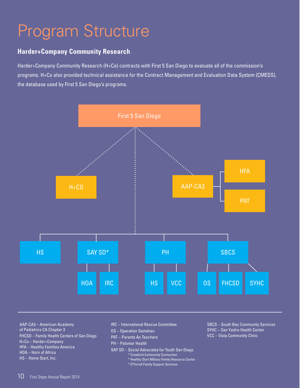# Program Structure

#### **Harder+Company Community Research**

Harder+Company Community Research (H+Co) contracts with First 5 San Diego to evaluate all of the commission's programs. H+Co also provided technical assistance for the Contract Management and Evaluation Data System (CMEDS), the database used by First 5 San Diego's programs.



AAP-CA3 – American Academy of Pediatrics CA Chapter 3 FHCSD – Family Health Centers of San Diego H+Co – Harder+Company HFA – Healthy Families America HOA - Horn of Africa HS – Home Start, Inc.

- IRC International Rescue Committee
- OS Operation Samahan
- PAT Parents As Teachers
- PH Palomar Health
- SAY SD Social Advocates for Youth San Diego
	- \* Crawford Community Connection
		- \* Healthy Start Military Family Resource Center
		- \* O'Farrell Family Support Services

SBCS – South Bay Community Services SYHC – San Ysidro Health Center VCC – Vista Community Clinic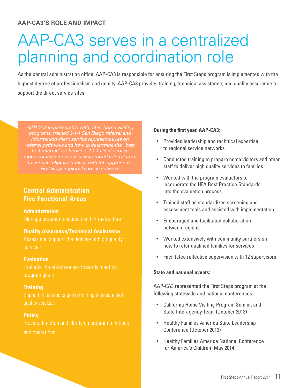#### **AAP-CA3'S ROLE AND IMPACT**

# AAP-CA3 serves in a centralized planning and coordination role

As the central administration office, AAP-CA3 is responsible for ensuring the First Steps program is implemented with the highest degree of professionalism and quality. AAP-CA3 provides training, technical assistance, and quality assurance to support the direct service sites.

*AAP-CA3 in partnership with other home visiting programs, trained 2-1-1 San Diego referral and information client service representatives on referral pathways and how to determine the "best representatives now use a customized referral form to connect eligible families with the appropriate First Steps regional service network.*

#### **Central Administration Five Functional Areas**

#### **Administration**

Manage program resources and infrastructure

#### **Quality Assurance/Technical Assistance**

Assess and support the delivery of high quality services

#### **Evaluation**

Evaluate the effectiveness towards meeting program goals

#### **Training**

Support initial and ongoing training to ensure high quality services

#### **Policy**

and operations

#### **During the first year, AAP-CA3:**

- Provided leadership and technical expertise to regional service networks
- Conducted training to prepare home visitors and other staff to deliver high quality services to families
- Worked with the program evaluators to incorporate the HFA Best Practice Standards into the evaluation process
- Trained staff on standardized screening and assessment tools and assisted with implementation
- Encouraged and facilitated collaboration between regions
- Worked extensively with community partners on how to refer qualified families for services
- Facilitated reflective supervision with 12 supervisors

#### **State and national events:**

AAP-CA3 represented the First Steps program at the following statewide and national conferences:

- California Home Visiting Program Summit and State Interagency Team (October 2013)
- Healthy Families America State Leadership Conference (October 2013)
- Healthy Families America National Conference for America's Children (May 2014)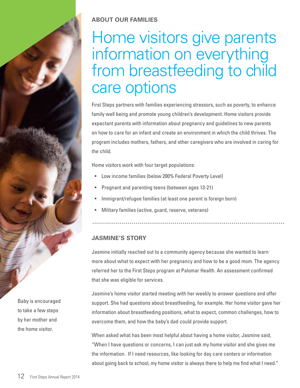#### **ABOUT OUR FAMILIES**

### Home visitors give parents information on everything from breastfeeding to child care options

First Steps partners with families experiencing stressors, such as poverty, to enhance family well being and promote young children's development. Home visitors provide expectant parents with information about pregnancy and guidelines to new parents on how to care for an infant and create an environment in which the child thrives. The program includes mothers, fathers, and other caregivers who are involved in caring for the child.

Home visitors work with four target populations:

- Low income families (below 200% Federal Poverty Level)
- Pregnant and parenting teens (between ages 13-21)
- Immigrant/refugee families (at least one parent is foreign born)
- Military families (active, guard, reserve, veterans)
- 

#### **JASMINE'S STORY**

Jasmine initially reached out to a community agency because she wanted to learn more about what to expect with her pregnancy and how to be a good mom. The agency referred her to the First Steps program at Palomar Health. An assessment confirmed that she was eligible for services.

Jasmine's home visitor started meeting with her weekly to answer questions and offer support. She had questions about breastfeeding, for example. Her home visitor gave her information about breastfeeding positions, what to expect, common challenges, how to overcome them, and how the baby's dad could provide support.

When asked what has been most helpful about having a home visitor, Jasmine said, "When I have questions or concerns, I can just ask my home visitor and she gives me the information. If I need resources, like looking for day care centers or information about going back to school, my home visitor is always there to help me find what I need."

Baby is encouraged to take a few steps by her mother and the home visitor.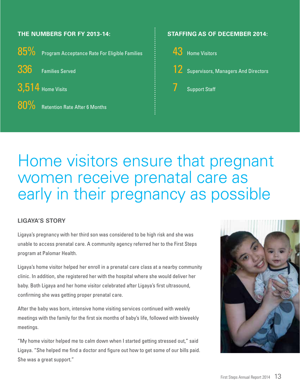$85\%$  Program Acceptance Rate For Eligible Families 336 Families Served

3,514 Home Visits

80% Retention Rate After 6 Months

#### **THE NUMBERS FOR FY 2013-14: STAFFING AS OF DECEMBER 2014:**

43 Home Visitors

Supervisors, Managers And Directors

**Support Staff** 

# Home visitors ensure that pregnant women receive prenatal care as early in their pregnancy as possible

#### **LIGAYA'S STORY**

Ligaya's pregnancy with her third son was considered to be high risk and she was unable to access prenatal care. A community agency referred her to the First Steps program at Palomar Health.

Ligaya's home visitor helped her enroll in a prenatal care class at a nearby community clinic. In addition, she registered her with the hospital where she would deliver her baby. Both Ligaya and her home visitor celebrated after Ligaya's first ultrasound, confirming she was getting proper prenatal care.

After the baby was born, intensive home visiting services continued with weekly meetings with the family for the first six months of baby's life, followed with biweekly meetings.

"My home visitor helped me to calm down when I started getting stressed out," said Ligaya. "She helped me find a doctor and figure out how to get some of our bills paid. She was a great support."

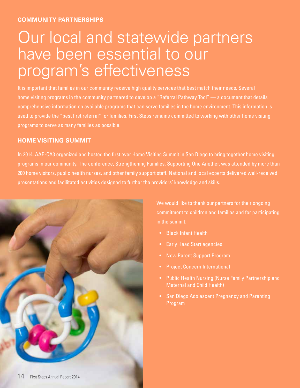### Our local and statewide partners have been essential to our program's effectiveness

It is important that families in our community receive high quality services that best match their needs. Several home visiting programs in the community partnered to develop a "Referral Pathway Tool" — a document that details comprehensive information on available programs that can serve families in the home environment. This information is used to provide the "best first referral" for families. First Steps remains committed to working with other home visiting programs to serve as many families as possible.

#### **HOME VISITING SUMMIT**

In 2014, AAP-CA3 organized and hosted the first ever Home Visiting Summit in San Diego to bring together home visiting programs in our community. The conference, Strengthening Families, Supporting One Another, was attended by more than 200 home visitors, public health nurses, and other family support staff. National and local experts delivered well-received presentations and facilitated activities designed to further the providers' knowledge and skills.



We would like to thank our partners for their ongoing commitment to children and families and for participating in the summit.

- Black Infant Health
- Early Head Start agencies
- New Parent Support Program
- Project Concern International
- Public Health Nursing (Nurse Family Partnership and Maternal and Child Health)
- San Diego Adolescent Pregnancy and Parenting Program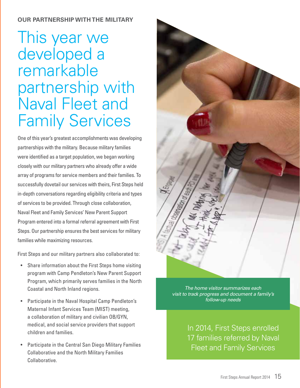#### **OUR PARTNERSHIP WITH THE MILITARY**

### This year we developed a remarkable partnership with Naval Fleet and Family Services

One of this year's greatest accomplishments was developing partnerships with the military. Because military families were identified as a target population, we began working closely with our military partners who already offer a wide array of programs for service members and their families. To successfully dovetail our services with theirs, First Steps held in-depth conversations regarding eligibility criteria and types of services to be provided. Through close collaboration, Naval Fleet and Family Services' New Parent Support Program entered into a formal referral agreement with First Steps. Our partnership ensures the best services for military families while maximizing resources.

First Steps and our military partners also collaborated to:

- Share information about the First Steps home visiting program with Camp Pendleton's New Parent Support Program, which primarily serves families in the North Coastal and North Inland regions.
- Participate in the Naval Hospital Camp Pendleton's Maternal Infant Services Team (MIST) meeting, a collaboration of military and civilian OB/GYN, medical, and social service providers that support children and families.
- Participate in the Central San Diego Military Families Collaborative and the North Military Families Collaborative.



*The home visitor summarizes each visit to track progress and document a family's follow-up needs* 

> In 2014, First Steps enrolled 17 families referred by Naval Fleet and Family Services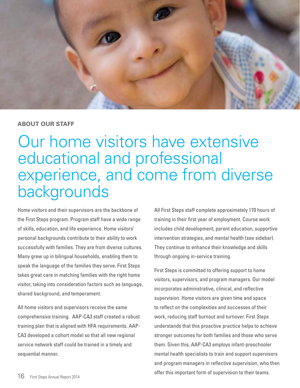

#### **ABOUT OUR STAFF**

Our home visitors have extensive educational and professional experience, and come from diverse backgrounds

Home visitors and their supervisors are the backbone of the First Steps program. Program staff have a wide range of skills, education, and life experience. Home visitors' personal backgrounds contribute to their ability to work successfully with families. They are from diverse cultures. Many grew up in bilingual households, enabling them to speak the language of the families they serve. First Steps takes great care in matching families with the right home visitor, taking into consideration factors such as language, shared background, and temperament.

All home visitors and supervisors receive the same comprehensive training. AAP-CA3 staff created a robust training plan that is aligned with HFA requirements. AAP-CA3 developed a cohort model so that all new regional service network staff could be trained in a timely and sequential manner.

All First Steps staff complete approximately 170 hours of training in their first year of employment. Course work includes child development, parent education, supportive intervention strategies, and mental health (see sidebar). They continue to enhance their knowledge and skills through ongoing in-service training.

First Steps is committed to offering support to home visitors, supervisors, and program managers. Our model incorporates administrative, clinical, and reflective supervision. Home visitors are given time and space to reflect on the complexities and successes of their work, reducing staff burnout and turnover. First Steps understands that this proactive practice helps to achieve stronger outcomes for both families and those who serve them. Given this, AAP-CA3 employs infant-preschooler mental health specialists to train and support supervisors and program managers in reflective supervision, who then **offer this important form of supervision to their teams.** The First Steps Annual Report 2014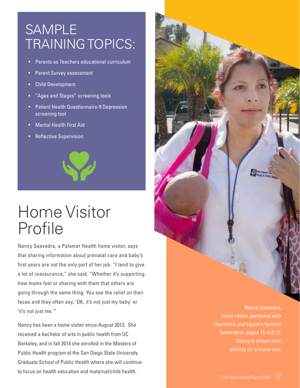### SAMPLE TRAINING TOPICS:

- Parents as Teachers educational curriculum
- Parent Survey assessment
- Child Development
- "Ages and Stages" screening tools
- Patient Health Questionnaire-9 Depression screening tool
- Mental Health First Aid
- Reflective Supervision



## Home Visitor Profile

Nancy Saavedra, a Palomar Health home visitor, says that sharing information about prenatal care and baby's first years are not the only part of her job. "I tend to give a lot of reassurance," she said. "Whether it's supporting how moms feel or sharing with them that others are going through the same thing. You see the relief on their faces and they often say, 'OK, it's not just my baby' or 'it's not just me.'"

Nancy has been a home visitor since August 2013. She received a bachelor of arts in public health from UC Berkeley, and in fall 2014 she enrolled in the Masters of Public Health program at the San Diego State University Graduate School of Public Health where she will continue to focus on health education and maternal/child health.



P MLOMAR HL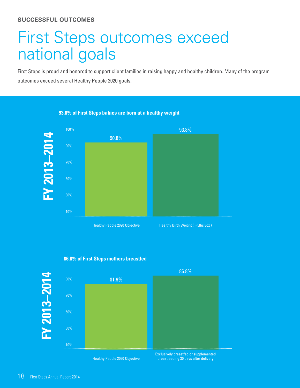**SUCCESSFUL OUTCOMES**

# First Steps outcomes exceed national goals

First Steps is proud and honored to support client families in raising happy and healthy children. Many of the program outcomes exceed several Healthy People 2020 goals.



#### **93.8% of First Steps babies are born at a healthy weight**



#### **86.8% of First Steps mothers breastfed**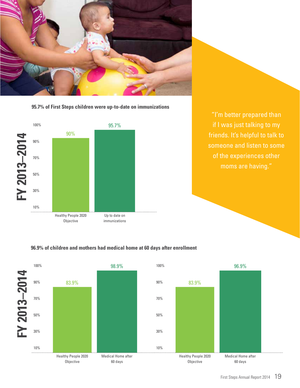

#### **95.7% of First Steps children were up-to-date on immunizations**



"I'm better prepared than if I was just talking to my friends. It's helpful to talk to someone and listen to some of the experiences other moms are having."

#### **96.9% of children and mothers had medical home at 60 days after enrollment**

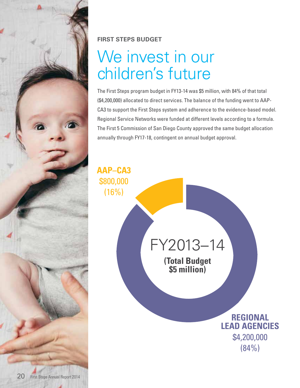

#### **FIRST STEPS BUDGET**

# We invest in our children's future

The First Steps program budget in FY13-14 was \$5 million, with 84% of that total (\$4,200,000) allocated to direct services. The balance of the funding went to AAP-CA3 to support the First Steps system and adherence to the evidence-based model. Regional Service Networks were funded at different levels according to a formula. The First 5 Commission of San Diego County approved the same budget allocation annually through FY17-18, contingent on annual budget approval.

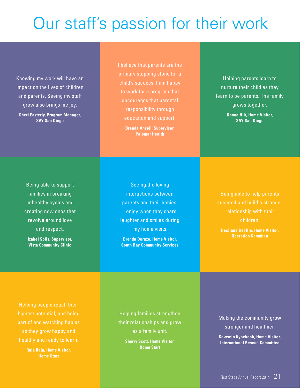# Our staff's passion for their work

Knowing my work will have an impact on the lives of children and parents. Seeing my staff grow also brings me joy. **Sheri Easterly, Program Manager, SAY San Diego** 

I believe that parents are the primary stepping stone for a child's success. I am happy to work for a program that encourages that parental responsibility through education and support. **Brenda Ansell, Supervisor,** 

**Palomar Health** 

Helping parents learn to nurture their child as they learn to be parents. The family grows together.

> **Donna Hilt, Home Visitor, SAY San Diego**

Being able to support families in breaking unhealthy cycles and creating new ones that revolve around love and respect.

**Izabel Solis, Supervisor, Vista Community Clinic**

Seeing the loving interactions between parents and their babies. I enjoy when they share laughter and smiles during my home visits.

**Brenda Durazo, Home Visitor, South Bay Community Services**

Being able to help parents succeed and build a stronger relationship with their children.

**Hecliana Del Rio, Home Visitor, Operation Samahan**

Helping people reach their highest potential, and being as they grow happy and

> **Rula Raja, Home Visitor, Home Start**

Helping families strengthen their relationships and grow as a family unit. **Sherry Scott, Home Visitor, Home Start**

Making the community grow stronger and healthier.

**Sawsein Kyoekooh, Home Visitor, International Rescue Committee**